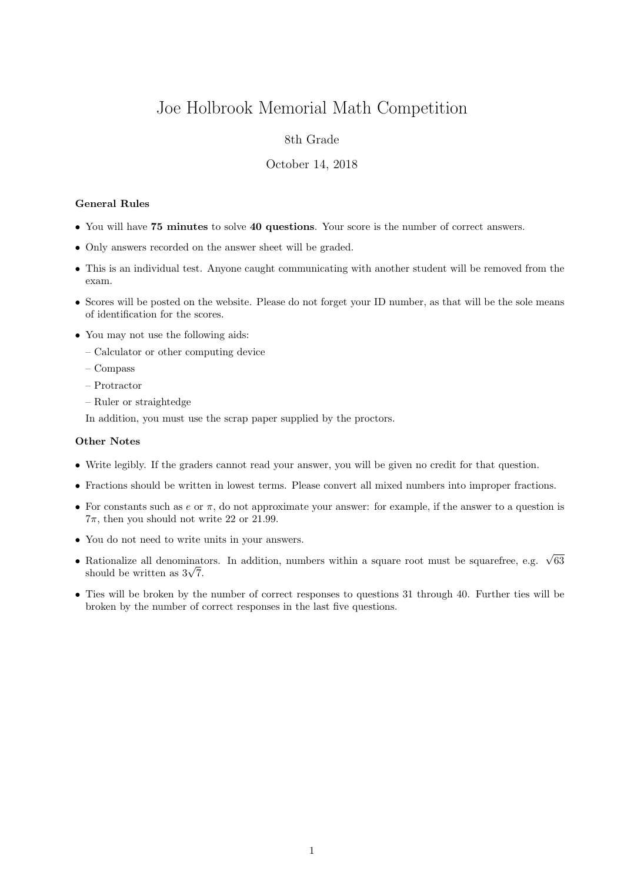# Joe Holbrook Memorial Math Competition

## 8th Grade

### October 14, 2018

### General Rules

- You will have 75 minutes to solve 40 questions. Your score is the number of correct answers.
- Only answers recorded on the answer sheet will be graded.
- This is an individual test. Anyone caught communicating with another student will be removed from the exam.
- Scores will be posted on the website. Please do not forget your ID number, as that will be the sole means of identification for the scores.
- You may not use the following aids:
	- Calculator or other computing device
	- Compass
	- Protractor
	- Ruler or straightedge

In addition, you must use the scrap paper supplied by the proctors.

#### Other Notes

- Write legibly. If the graders cannot read your answer, you will be given no credit for that question.
- Fractions should be written in lowest terms. Please convert all mixed numbers into improper fractions.
- For constants such as  $e$  or  $\pi$ , do not approximate your answer: for example, if the answer to a question is  $7\pi$ , then you should not write 22 or 21.99.
- You do not need to write units in your answers.
- Rationalize all denominators. In addition, numbers within a square root must be squarefree, e.g.  $\sqrt{63}$  $\kappa$ ationalize all denominat<br>should be written as  $3\sqrt{7}$ .
- Ties will be broken by the number of correct responses to questions 31 through 40. Further ties will be broken by the number of correct responses in the last five questions.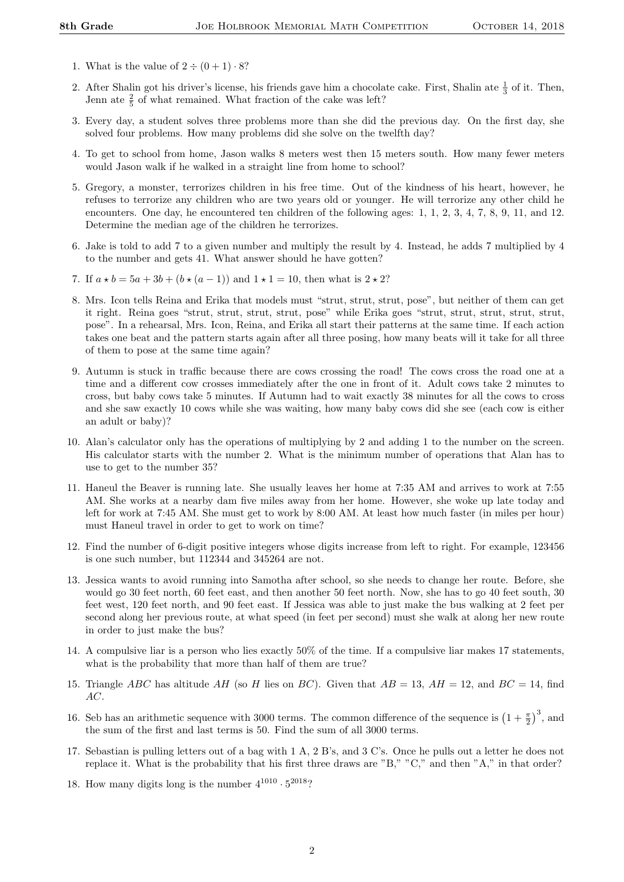- 1. What is the value of  $2 \div (0 + 1) \cdot 8$ ?
- 2. After Shalin got his driver's license, his friends gave him a chocolate cake. First, Shalin ate  $\frac{1}{3}$  of it. Then, Jenn ate  $\frac{2}{5}$  of what remained. What fraction of the cake was left?
- 3. Every day, a student solves three problems more than she did the previous day. On the first day, she solved four problems. How many problems did she solve on the twelfth day?
- 4. To get to school from home, Jason walks 8 meters west then 15 meters south. How many fewer meters would Jason walk if he walked in a straight line from home to school?
- 5. Gregory, a monster, terrorizes children in his free time. Out of the kindness of his heart, however, he refuses to terrorize any children who are two years old or younger. He will terrorize any other child he encounters. One day, he encountered ten children of the following ages: 1, 1, 2, 3, 4, 7, 8, 9, 11, and 12. Determine the median age of the children he terrorizes.
- 6. Jake is told to add 7 to a given number and multiply the result by 4. Instead, he adds 7 multiplied by 4 to the number and gets 41. What answer should he have gotten?
- 7. If  $a * b = 5a + 3b + (b * (a 1))$  and  $1 * 1 = 10$ , then what is  $2 * 2$ ?
- 8. Mrs. Icon tells Reina and Erika that models must "strut, strut, strut, pose", but neither of them can get it right. Reina goes "strut, strut, strut, strut, pose" while Erika goes "strut, strut, strut, strut, strut, pose". In a rehearsal, Mrs. Icon, Reina, and Erika all start their patterns at the same time. If each action takes one beat and the pattern starts again after all three posing, how many beats will it take for all three of them to pose at the same time again?
- 9. Autumn is stuck in traffic because there are cows crossing the road! The cows cross the road one at a time and a different cow crosses immediately after the one in front of it. Adult cows take 2 minutes to cross, but baby cows take 5 minutes. If Autumn had to wait exactly 38 minutes for all the cows to cross and she saw exactly 10 cows while she was waiting, how many baby cows did she see (each cow is either an adult or baby)?
- 10. Alan's calculator only has the operations of multiplying by 2 and adding 1 to the number on the screen. His calculator starts with the number 2. What is the minimum number of operations that Alan has to use to get to the number 35?
- 11. Haneul the Beaver is running late. She usually leaves her home at 7:35 AM and arrives to work at 7:55 AM. She works at a nearby dam five miles away from her home. However, she woke up late today and left for work at 7:45 AM. She must get to work by 8:00 AM. At least how much faster (in miles per hour) must Haneul travel in order to get to work on time?
- 12. Find the number of 6-digit positive integers whose digits increase from left to right. For example, 123456 is one such number, but 112344 and 345264 are not.
- 13. Jessica wants to avoid running into Samotha after school, so she needs to change her route. Before, she would go 30 feet north, 60 feet east, and then another 50 feet north. Now, she has to go 40 feet south, 30 feet west, 120 feet north, and 90 feet east. If Jessica was able to just make the bus walking at 2 feet per second along her previous route, at what speed (in feet per second) must she walk at along her new route in order to just make the bus?
- 14. A compulsive liar is a person who lies exactly 50% of the time. If a compulsive liar makes 17 statements, what is the probability that more than half of them are true?
- 15. Triangle ABC has altitude AH (so H lies on BC). Given that  $AB = 13$ ,  $AH = 12$ , and  $BC = 14$ , find AC.
- 16. Seb has an arithmetic sequence with 3000 terms. The common difference of the sequence is  $\left(1+\frac{\pi}{2}\right)^3$ , and the sum of the first and last terms is 50. Find the sum of all 3000 terms.
- 17. Sebastian is pulling letters out of a bag with 1 A, 2 B's, and 3 C's. Once he pulls out a letter he does not replace it. What is the probability that his first three draws are "B," "C," and then "A," in that order?
- 18. How many digits long is the number  $4^{1010} \cdot 5^{2018}$ ?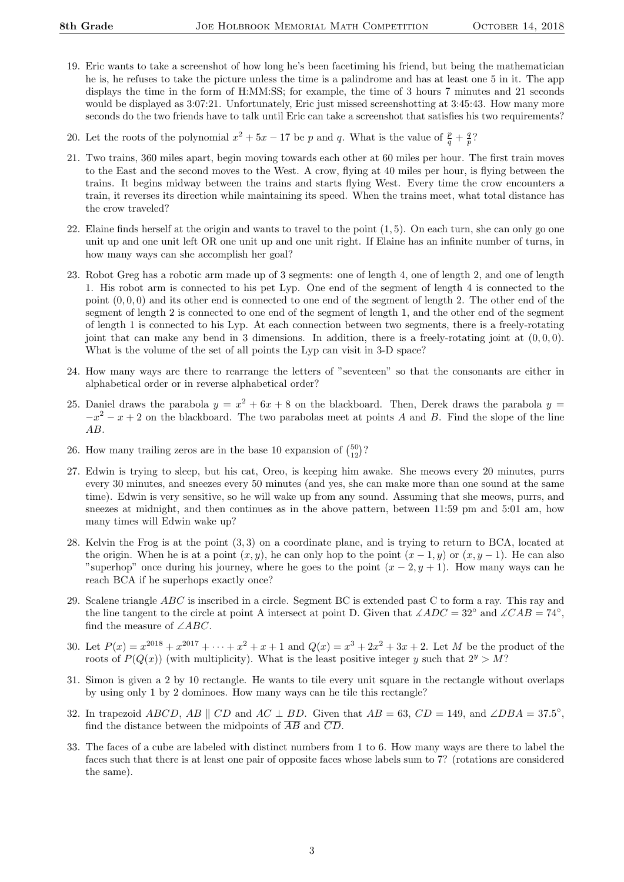- 19. Eric wants to take a screenshot of how long he's been facetiming his friend, but being the mathematician he is, he refuses to take the picture unless the time is a palindrome and has at least one 5 in it. The app displays the time in the form of H:MM:SS; for example, the time of 3 hours 7 minutes and 21 seconds would be displayed as  $3:07:21$ . Unfortunately, Eric just missed screenshotting at  $3:45:43$ . How many more seconds do the two friends have to talk until Eric can take a screenshot that satisfies his two requirements?
- 20. Let the roots of the polynomial  $x^2 + 5x 17$  be p and q. What is the value of  $\frac{p}{q} + \frac{q}{p}$ ?
- 21. Two trains, 360 miles apart, begin moving towards each other at 60 miles per hour. The first train moves to the East and the second moves to the West. A crow, flying at 40 miles per hour, is flying between the trains. It begins midway between the trains and starts flying West. Every time the crow encounters a train, it reverses its direction while maintaining its speed. When the trains meet, what total distance has the crow traveled?
- 22. Elaine finds herself at the origin and wants to travel to the point (1, 5). On each turn, she can only go one unit up and one unit left OR one unit up and one unit right. If Elaine has an infinite number of turns, in how many ways can she accomplish her goal?
- 23. Robot Greg has a robotic arm made up of 3 segments: one of length 4, one of length 2, and one of length 1. His robot arm is connected to his pet Lyp. One end of the segment of length 4 is connected to the point  $(0, 0, 0)$  and its other end is connected to one end of the segment of length 2. The other end of the segment of length 2 is connected to one end of the segment of length 1, and the other end of the segment of length 1 is connected to his Lyp. At each connection between two segments, there is a freely-rotating joint that can make any bend in 3 dimensions. In addition, there is a freely-rotating joint at  $(0, 0, 0)$ . What is the volume of the set of all points the Lyp can visit in 3-D space?
- 24. How many ways are there to rearrange the letters of "seventeen" so that the consonants are either in alphabetical order or in reverse alphabetical order?
- 25. Daniel draws the parabola  $y = x^2 + 6x + 8$  on the blackboard. Then, Derek draws the parabola  $y =$  $-x^2 - x + 2$  on the blackboard. The two parabolas meet at points A and B. Find the slope of the line AB.
- 26. How many trailing zeros are in the base 10 expansion of  $\binom{50}{12}$ ?
- 27. Edwin is trying to sleep, but his cat, Oreo, is keeping him awake. She meows every 20 minutes, purrs every 30 minutes, and sneezes every 50 minutes (and yes, she can make more than one sound at the same time). Edwin is very sensitive, so he will wake up from any sound. Assuming that she meows, purrs, and sneezes at midnight, and then continues as in the above pattern, between 11:59 pm and 5:01 am, how many times will Edwin wake up?
- 28. Kelvin the Frog is at the point (3, 3) on a coordinate plane, and is trying to return to BCA, located at the origin. When he is at a point  $(x, y)$ , he can only hop to the point  $(x - 1, y)$  or  $(x, y - 1)$ . He can also "superhop" once during his journey, where he goes to the point  $(x - 2, y + 1)$ . How many ways can he reach BCA if he superhops exactly once?
- 29. Scalene triangle ABC is inscribed in a circle. Segment BC is extended past C to form a ray. This ray and the line tangent to the circle at point A intersect at point D. Given that  $\angle ADC = 32°$  and  $\angle CAB = 74°$ , find the measure of  $\angle ABC$ .
- 30. Let  $P(x) = x^{2018} + x^{2017} + \cdots + x^2 + x + 1$  and  $Q(x) = x^3 + 2x^2 + 3x + 2$ . Let M be the product of the roots of  $P(Q(x))$  (with multiplicity). What is the least positive integer y such that  $2^y > M$ ?
- 31. Simon is given a 2 by 10 rectangle. He wants to tile every unit square in the rectangle without overlaps by using only 1 by 2 dominoes. How many ways can he tile this rectangle?
- 32. In trapezoid ABCD, AB  $\parallel$  CD and AC  $\perp$  BD. Given that  $AB = 63$ , CD = 149, and ∠DBA = 37.5°, find the distance between the midpoints of  $\overline{AB}$  and  $\overline{CD}$ .
- 33. The faces of a cube are labeled with distinct numbers from 1 to 6. How many ways are there to label the faces such that there is at least one pair of opposite faces whose labels sum to 7? (rotations are considered the same).